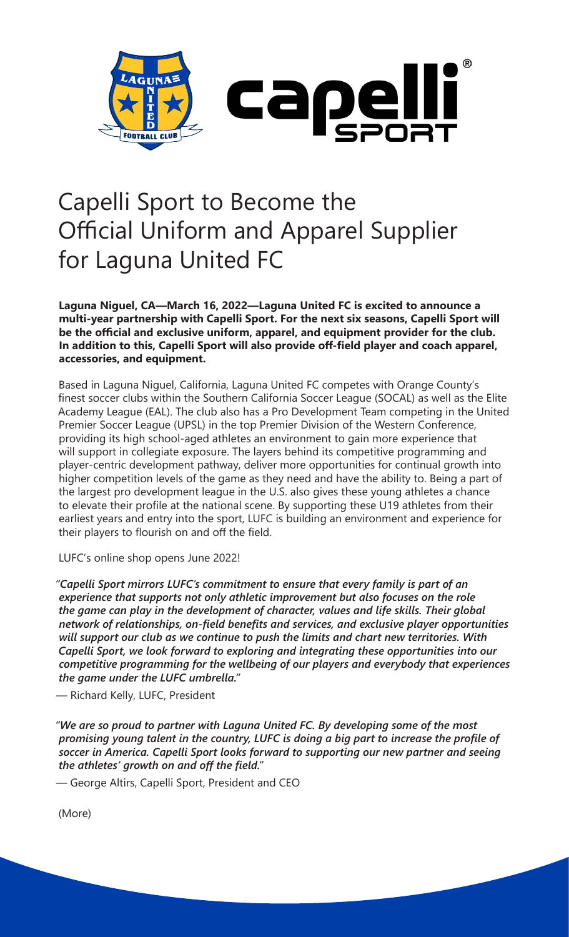

## Capelli Sport to Become the Official Uniform and Apparel Supplier for Laguna United FC

**Laguna Niguel, CA—March 16, 2022—Laguna United FC is excited to announce a multi-year partnership with Capelli Sport. For the next six seasons, Capelli Sport will be the official and exclusive uniform, apparel, and equipment provider for the club. In addition to this, Capelli Sport will also provide off-field player and coach apparel, accessories, and equipment.**

Based in Laguna Niguel, California, Laguna United FC competes with Orange County's finest soccer clubs within the Southern California Soccer League (SOCAL) as well as the Elite Academy League (EAL). The club also has a Pro Development Team competing in the United Premier Soccer League (UPSL) in the top Premier Division of the Western Conference, providing its high school-aged athletes an environment to gain more experience that will support in collegiate exposure. The layers behind its competitive programming and player-centric development pathway, deliver more opportunities for continual growth into higher competition levels of the game as they need and have the ability to. Being a part of the largest pro development league in the U.S. also gives these young athletes a chance to elevate their profile at the national scene. By supporting these U19 athletes from their earliest years and entry into the sport, LUFC is building an environment and experience for their players to flourish on and off the field.

LUFC's online shop opens June 2022!

*"Capelli Sport mirrors LUFC's commitment to ensure that every family is part of an experience that supports not only athletic improvement but also focuses on the role the game can play in the development of character, values and life skills. Their global network of relationships, on-field benefits and services, and exclusive player opportunities will support our club as we continue to push the limits and chart new territories. With Capelli Sport, we look forward to exploring and integrating these opportunities into our competitive programming for the wellbeing of our players and everybody that experiences the game under the LUFC umbrella."* 

— Richard Kelly, LUFC, President

*"We are so proud to partner with Laguna United FC. By developing some of the most promising young talent in the country, LUFC is doing a big part to increase the profile of soccer in America. Capelli Sport looks forward to supporting our new partner and seeing the athletes' growth on and off the field."* 

— George Altirs, Capelli Sport, President and CEO

(More)